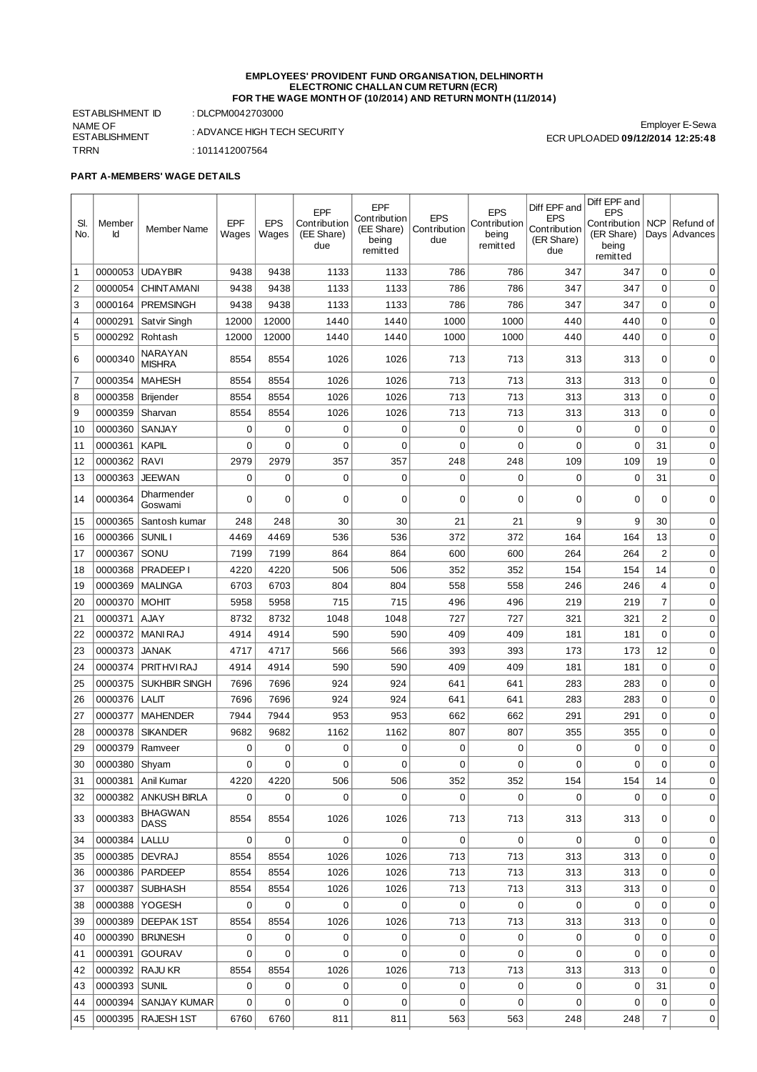#### **EMPLOYEES' PROVIDENT FUND ORGANISATION, DELHINORTH ELECTRONIC CHALLAN CUM RETURN (ECR) FOR THE WAGE MONTH OF (10/2014) AND RETURN MONTH (11/2014)**

ESTABLISHMENT ID : DLCPM0042703000 NAME OF ESTABLISHMENT TRRN : 1011412007564

: ADVANCE HIGH TECH SECURITY

Employer E-Sewa ECR UPLOADED **09/12/2014 12:25:48**

## **PART A-MEMBERS' WAGE DETAILS**

| SI.<br>No.     | Member<br>Id     | <b>Member Name</b>                           | <b>EPF</b><br>Wages | <b>EPS</b><br>Wages | <b>EPF</b><br>Contribution<br>(EE Share)<br>due | EPF<br>Contribution<br>(EE Share)<br>being<br>remitted | <b>EPS</b><br>Contribution<br>due | <b>EPS</b><br>Contribution<br>being<br>remitted | Diff EPF and<br><b>EPS</b><br>Contribution<br>(ER Share)<br>due | Diff EPF and<br><b>EPS</b><br>Contribution<br>(ER Share)<br>being | <b>NCP</b>     | Refund of<br>Days Advances |
|----------------|------------------|----------------------------------------------|---------------------|---------------------|-------------------------------------------------|--------------------------------------------------------|-----------------------------------|-------------------------------------------------|-----------------------------------------------------------------|-------------------------------------------------------------------|----------------|----------------------------|
|                |                  |                                              |                     |                     |                                                 |                                                        |                                   |                                                 |                                                                 | remitted                                                          |                |                            |
| 1              | 0000053          | <b>UDAYBIR</b>                               | 9438                | 9438                | 1133                                            | 1133                                                   | 786                               | 786                                             | 347                                                             | 347                                                               | 0              | $\mathbf 0$                |
| $\overline{2}$ | 0000054          | <b>CHINT AMANI</b>                           | 9438                | 9438                | 1133                                            | 1133                                                   | 786                               | 786                                             | 347                                                             | 347                                                               | 0              | 0                          |
| 3              | 0000164          | <b>PREMSINGH</b>                             | 9438                | 9438                | 1133                                            | 1133                                                   | 786                               | 786                                             | 347                                                             | 347                                                               | $\mathbf 0$    | 0                          |
| $\overline{4}$ | 0000291          | Satvir Singh                                 | 12000               | 12000               | 1440                                            | 1440                                                   | 1000                              | 1000                                            | 440                                                             | 440                                                               | $\mathbf 0$    | $\mathbf 0$                |
| 5              | 0000292          | Rohtash                                      | 12000               | 12000               | 1440                                            | 1440                                                   | 1000                              | 1000                                            | 440                                                             | 440                                                               | 0              | $\mathbf 0$                |
| 6              | 0000340          | <b>NARAYAN</b><br><b>MISHRA</b>              | 8554                | 8554                | 1026                                            | 1026                                                   | 713                               | 713                                             | 313                                                             | 313                                                               | $\Omega$       | 0                          |
| $\overline{7}$ | 0000354          | <b>MAHESH</b>                                | 8554                | 8554                | 1026                                            | 1026                                                   | 713                               | 713                                             | 313                                                             | 313                                                               | 0              | 0                          |
| 8              | 0000358          | Brijender                                    | 8554                | 8554                | 1026                                            | 1026                                                   | 713                               | 713                                             | 313                                                             | 313                                                               | $\Omega$       | $\mathbf 0$                |
| 9              | 0000359          | Sharvan                                      | 8554                | 8554                | 1026                                            | 1026                                                   | 713                               | 713                                             | 313                                                             | 313                                                               | 0              | 0                          |
| 10             | 0000360          | <b>SANJAY</b>                                | 0                   | 0                   | 0                                               | 0                                                      | 0                                 | 0                                               | 0                                                               | 0                                                                 | 0              | $\mathbf 0$                |
| 11             | 0000361          | <b>KAPIL</b>                                 | 0                   | 0                   | 0                                               | 0                                                      | 0                                 | 0                                               | 0                                                               | 0                                                                 | 31             | 0                          |
| 12             | 0000362          | <b>RAVI</b>                                  | 2979                | 2979                | 357                                             | 357                                                    | 248                               | 248                                             | 109                                                             | 109                                                               | 19             | 0                          |
| 13             | 0000363          | <b>JEEWAN</b><br>Dharmender                  | 0                   | 0                   | 0                                               | 0                                                      | 0                                 | 0                                               | 0                                                               | 0                                                                 | 31             | 0                          |
| 14             | 0000364          | Goswami                                      | 0                   | 0                   | 0                                               | 0                                                      | 0                                 | 0                                               | 0                                                               | 0                                                                 | 0              | 0                          |
| 15             | 0000365          | Santosh kumar                                | 248                 | 248                 | 30                                              | 30                                                     | 21                                | 21                                              | 9                                                               | 9                                                                 | 30             | $\mathbf 0$                |
| 16             | 0000366          | SUNIL I                                      | 4469                | 4469                | 536                                             | 536                                                    | 372                               | 372                                             | 164                                                             | 164                                                               | 13             | 0                          |
| 17             | 0000367          | SONU                                         | 7199                | 7199                | 864                                             | 864                                                    | 600                               | 600                                             | 264                                                             | 264                                                               | 2              | $\mathbf 0$                |
| 18             | 0000368          | <b>PRADEEP I</b>                             | 4220                | 4220                | 506                                             | 506                                                    | 352                               | 352                                             | 154                                                             | 154                                                               | 14             | $\mathbf 0$                |
| 19             | 0000369          | <b>MALINGA</b>                               | 6703                | 6703                | 804                                             | 804                                                    | 558                               | 558                                             | 246                                                             | 246                                                               | 4              | $\mathbf 0$                |
| 20             | 0000370          | <b>MOHIT</b>                                 | 5958                | 5958                | 715                                             | 715                                                    | 496                               | 496                                             | 219                                                             | 219                                                               | $\overline{7}$ | $\mathbf 0$                |
| 21             | 0000371          | <b>AJAY</b>                                  | 8732                | 8732                | 1048                                            | 1048                                                   | 727                               | 727                                             | 321                                                             | 321                                                               | $\overline{2}$ | $\mathbf 0$                |
| 22             | 0000372          | MANI RAJ                                     | 4914                | 4914                | 590                                             | 590                                                    | 409                               | 409                                             | 181                                                             | 181                                                               | 0              | $\mathbf 0$                |
| 23             | 0000373          | <b>JANAK</b>                                 | 4717                | 4717                | 566                                             | 566                                                    | 393                               | 393                                             | 173                                                             | 173                                                               | 12             | 0                          |
| 24             | 0000374          | PRITHVI RAJ                                  | 4914                | 4914                | 590                                             | 590                                                    | 409                               | 409                                             | 181                                                             | 181                                                               | 0              | 0                          |
| 25             | 0000375          | <b>SUKHBIR SINGH</b>                         | 7696                | 7696                | 924                                             | 924                                                    | 641                               | 641                                             | 283                                                             | 283                                                               | 0              | $\mathbf 0$                |
| 26             | 0000376          | <b>LALIT</b>                                 | 7696                | 7696                | 924                                             | 924                                                    | 641                               | 641                                             | 283                                                             | 283                                                               | 0              | 0                          |
| 27             | 0000377          | <b>MAHENDER</b>                              | 7944                | 7944                | 953                                             | 953                                                    | 662                               | 662                                             | 291                                                             | 291                                                               | $\Omega$       | 0                          |
| 28             | 0000378          | <b>SIKANDER</b>                              | 9682                | 9682                | 1162                                            | 1162                                                   | 807                               | 807                                             | 355                                                             | 355                                                               | 0              | 0                          |
| 29             | 0000379          | Ramveer                                      | 0                   | 0                   | 0                                               | 0                                                      | 0                                 | 0                                               | 0                                                               | 0                                                                 | $\mathbf 0$    | $\mathbf 0$                |
| 30             | 0000380 Shyam    |                                              | 0                   | $\mathbf 0$         | 0                                               | 0                                                      | 0                                 | 0                                               | $\mathbf 0$                                                     | $\Omega$                                                          | $\Omega$       | 0                          |
| 31             |                  | 0000381   Anil Kumar<br>0000382 ANKUSH BIRLA | 4220<br>0           | 4220<br>$\mathbf 0$ | 506<br>0                                        | 506<br>0                                               | 352<br>0                          | 352<br>0                                        | 154<br>$\mathbf 0$                                              | 154<br>0                                                          | 14<br>$\Omega$ | 0                          |
| 32             |                  | <b>BHAGWAN</b>                               |                     |                     |                                                 |                                                        |                                   |                                                 |                                                                 |                                                                   |                | 0                          |
| 33             | 0000383          | <b>DASS</b>                                  | 8554                | 8554                | 1026                                            | 1026                                                   | 713                               | 713                                             | 313                                                             | 313                                                               | 0              | 0                          |
| 34             | 0000384          | LALLU                                        | 0                   | $\mathbf 0$         | 0                                               | 0                                                      | 0                                 | $\mathbf 0$                                     | 0                                                               | 0                                                                 | 0              | 0                          |
| 35             | 0000385   DEVRAJ |                                              | 8554                | 8554                | 1026                                            | 1026                                                   | 713                               | 713                                             | 313                                                             | 313                                                               | 0              | 0                          |
| 36             |                  | 0000386 PARDEEP                              | 8554                | 8554                | 1026                                            | 1026                                                   | 713                               | 713                                             | 313                                                             | 313                                                               | 0              | 0                          |
| 37             | 0000387          | <b>SUBHASH</b>                               | 8554                | 8554                | 1026                                            | 1026                                                   | 713                               | 713                                             | 313                                                             | 313                                                               | 0              | 0                          |
| 38             |                  | 0000388 YOGESH                               | 0                   | 0                   | 0                                               | 0                                                      | 0                                 | 0                                               | 0                                                               | 0                                                                 | 0              | 0                          |
| 39             | 0000389          | DEEPAK 1ST                                   | 8554                | 8554                | 1026                                            | 1026                                                   | 713                               | 713                                             | 313                                                             | 313                                                               | 0              | 0                          |
| 40             | 0000390          | <b>BRIJNESH</b>                              | 0                   | 0                   | 0                                               | 0                                                      | 0                                 | 0                                               | 0                                                               | 0                                                                 | $\mathbf 0$    | 0                          |
| 41             |                  | 0000391 GOURAV                               | 0                   | $\mathbf 0$         | 0                                               | 0                                                      | 0                                 | $\mathbf 0$                                     | $\mathbf 0$                                                     | 0                                                                 | $\Omega$       | 0                          |
| 42             |                  | 0000392   RAJU KR                            | 8554                | 8554                | 1026                                            | 1026                                                   | 713                               | 713                                             | 313                                                             | 313                                                               | $\mathbf 0$    | 0                          |
| 43             | 0000393   SUNIL  |                                              | 0                   | 0                   | 0                                               | 0                                                      | 0                                 | 0                                               | 0                                                               | 0                                                                 | 31             | 0                          |
| 44             | 0000394          | <b>SANJAY KUMAR</b>                          | 0                   | $\mathbf 0$         | 0                                               | 0                                                      | 0                                 | 0                                               | $\mathbf 0$                                                     | 0                                                                 | 0              | 0                          |
| 45             |                  | 0000395 RAJESH 1ST                           | 6760                | 6760                | 811                                             | 811                                                    | 563                               | 563                                             | 248                                                             | 248                                                               | $\overline{7}$ | 0                          |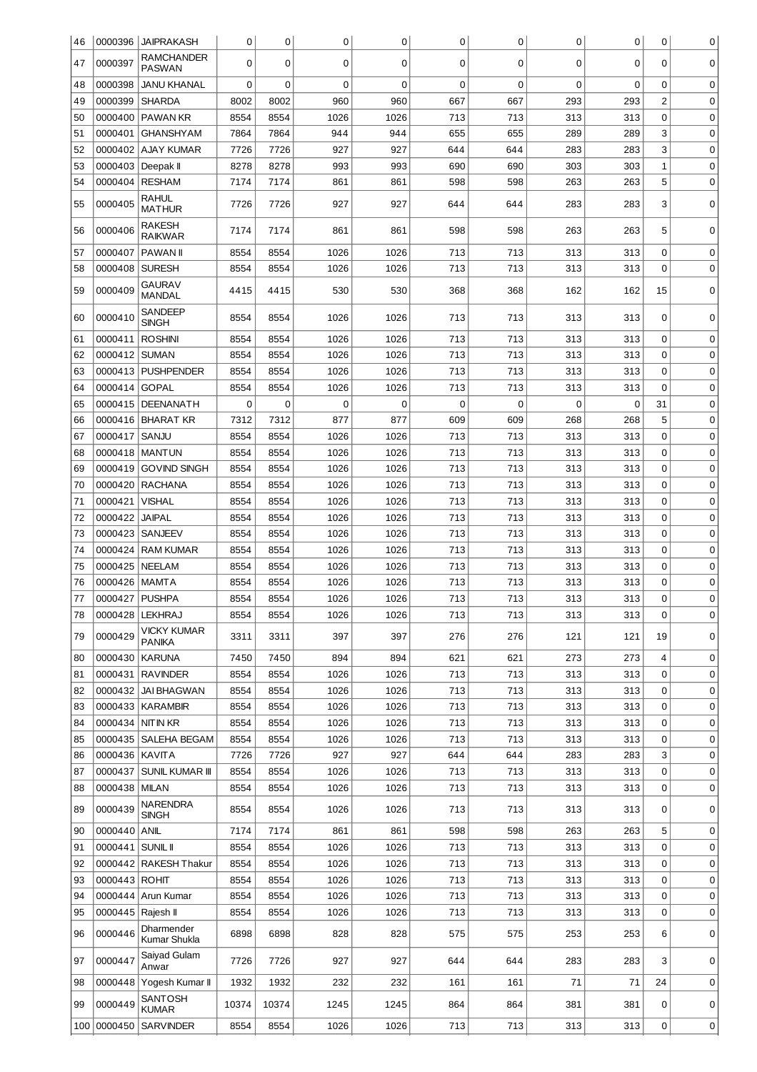| 46        | 0000396             | <b>JAIPRAKASH</b>                     | 0            | 0            | 0            | 0            | 0           | 0          | 0           | 0          | 0                          | 0                |
|-----------|---------------------|---------------------------------------|--------------|--------------|--------------|--------------|-------------|------------|-------------|------------|----------------------------|------------------|
| 47        | 0000397             | RAMCHANDER<br><b>PASWAN</b>           | 0            | 0            | 0            | 0            | 0           | 0          | 0           | 0          | 0                          | 0                |
| 48        | 0000398             | <b>JANU KHANAL</b>                    | 0            | 0            | 0            | 0            | $\mathbf 0$ | 0          | $\mathbf 0$ | 0          | 0                          | 0                |
| 49        | 0000399             | <b>SHARDA</b>                         | 8002         | 8002         | 960          | 960          | 667         | 667        | 293         | 293        | $\overline{2}$             | 0                |
| 50        | 0000400             | <b>PAWAN KR</b>                       | 8554         | 8554         | 1026         | 1026         | 713         | 713        | 313         | 313        | 0                          | 0                |
| 51        | 0000401             | <b>GHANSHYAM</b>                      | 7864         | 7864         | 944          | 944          | 655         | 655        | 289         | 289        | 3                          | 0                |
| 52        | 0000402             | <b>AJAY KUMAR</b>                     | 7726         | 7726         | 927          | 927          | 644         | 644        | 283         | 283        | 3                          | 0                |
| 53        | 0000403             | Deepak II                             | 8278         | 8278         | 993          | 993          | 690         | 690        | 303         | 303        | $\mathbf{1}$               | $\mathbf 0$      |
| 54        | 0000404             | <b>RESHAM</b>                         | 7174         | 7174         | 861          | 861          | 598         | 598        | 263         | 263        | 5                          | 0                |
| 55        | 0000405             | <b>RAHUL</b><br><b>MATHUR</b>         | 7726         | 7726         | 927          | 927          | 644         | 644        | 283         | 283        | 3                          | 0                |
| 56        | 0000406             | RAKESH<br><b>RAIKWAR</b>              | 7174         | 7174         | 861          | 861          | 598         | 598        | 263         | 263        | 5                          | 0                |
| 57        | 0000407             | <b>PAWAN II</b>                       | 8554         | 8554         | 1026         | 1026         | 713         | 713        | 313         | 313        | 0                          | 0                |
| 58        | 0000408             | <b>SURESH</b>                         | 8554         | 8554         | 1026         | 1026         | 713         | 713        | 313         | 313        | 0                          | 0                |
| 59        | 0000409             | <b>GAURAV</b><br><b>MANDAL</b>        | 4415         | 4415         | 530          | 530          | 368         | 368        | 162         | 162        | 15                         | 0                |
| 60        | 0000410             | <b>SANDEEP</b><br><b>SINGH</b>        | 8554         | 8554         | 1026         | 1026         | 713         | 713        | 313         | 313        | 0                          | 0                |
| 61        | 0000411             | <b>ROSHINI</b>                        | 8554         | 8554         | 1026         | 1026         | 713         | 713        | 313         | 313        | 0                          | 0                |
| 62        | 0000412             | <b>SUMAN</b>                          | 8554         | 8554         | 1026         | 1026         | 713         | 713        | 313         | 313        | $\mathbf 0$                | 0                |
| 63        | 0000413             | <b>PUSHPENDER</b>                     | 8554         | 8554         | 1026         | 1026         | 713         | 713        | 313         | 313        | 0                          | 0                |
| 64        | 0000414             | <b>GOPAL</b>                          | 8554         | 8554         | 1026         | 1026         | 713         | 713        | 313         | 313        | 0                          | $\mathbf 0$      |
| 65        | 0000415             | DEENANATH                             | 0            | 0            | 0            | 0            | 0           | $\Omega$   | 0           | 0          | 31                         | 0                |
| 66        | 0000416             | <b>BHARAT KR</b>                      | 7312         | 7312         | 877          | 877          | 609         | 609        | 268         | 268        | 5                          | 0                |
| 67        | 0000417             | SANJU                                 | 8554         | 8554         | 1026         | 1026         | 713         | 713        | 313         | 313        | 0                          | 0                |
| 68        | 0000418             | <b>MANTUN</b>                         | 8554         | 8554         | 1026         | 1026         | 713         | 713        | 313         | 313        | 0                          | $\mathbf 0$      |
| 69        | 0000419             | <b>GOVIND SINGH</b>                   | 8554         | 8554         | 1026         | 1026         | 713         | 713        | 313         | 313        | 0                          | 0                |
| 70        | 0000420             | RACHANA                               | 8554         | 8554         | 1026         | 1026         | 713         | 713        | 313         | 313        | $\mathbf 0$                | 0                |
| 71        | 0000421             | <b>VISHAL</b>                         | 8554         | 8554         | 1026         | 1026         | 713         | 713        | 313         | 313        | 0                          | 0                |
| 72        | 0000422             | <b>JAIPAL</b>                         | 8554         | 8554         | 1026         | 1026         | 713         | 713        | 313         | 313        | 0                          | $\mathbf 0$      |
| 73        | 0000423             | SANJEEV                               | 8554         | 8554         | 1026         | 1026         | 713         | 713        | 313         | 313        | 0                          | 0                |
| 74        | 0000424             | <b>RAM KUMAR</b>                      | 8554         | 8554         | 1026         | 1026         | 713         | 713        | 313         | 313        | 0                          | 0                |
| 75        | 0000425             | NEELAM                                | 8554         | 8554         | 1026         | 1026         | 713         | 713        | 313         | 313        | 0                          | 0                |
| 76        | 0000426             | <b>MAMTA</b>                          | 8554         | 8554         | 1026         | 1026         | 713         | 713        | 313         | 313        | 0                          | 0                |
| 77        | 0000427 PUSHPA      |                                       | 8554         | 8554         | 1026         | 1026         | 713         | 713        | 313         | 313        | 0                          | 0                |
| 78        |                     | 0000428   LEKHRAJ                     | 8554         | 8554         | 1026         | 1026         | 713         | 713        | 313         | 313        | $\mathbf 0$                | $\mathbf 0$      |
| 79        | 0000429             | VICKY KUMAR<br><b>PANIKA</b>          | 3311         | 3311         | 397          | 397          | 276         | 276        | 121         | 121        | 19                         | 0                |
| 80        | 0000430             | <b>KARUNA</b>                         | 7450         | 7450         | 894          | 894          | 621         | 621        | 273         | 273        | $\overline{4}$             | 0                |
| 81        | 0000431             | <b>RAVINDER</b>                       | 8554         | 8554         | 1026         | 1026         | 713         | 713        | 313         | 313        | $\mathbf 0$                | $\mathbf 0$      |
| 82        | 0000432             | <b>JAI BHAGWAN</b>                    | 8554         | 8554         | 1026         | 1026         | 713         | 713        | 313         | 313        | $\mathbf 0$                | 0                |
| 83        | 0000433             | KARAMBIR                              | 8554         | 8554         | 1026         | 1026         | 713         | 713        | 313         | 313        | $\mathbf 0$                | $\mathbf 0$      |
| 84        | 0000434             | NITIN KR                              | 8554         | 8554         | 1026         | 1026         | 713         | 713        | 313         | 313        | $\mathbf 0$                | 0                |
| 85        |                     | 0000435 SALEHA BEGAM                  | 8554         | 8554         | 1026         | 1026         | 713         | 713        | 313         | 313        | $\mathbf 0$                | $\mathbf 0$      |
| 86        | 0000436 KAVITA      |                                       | 7726         | 7726         | 927          | 927          | 644         | 644        | 283         | 283        | 3                          | 0                |
| 87        | 0000437             | <b>SUNIL KUMAR III</b>                | 8554         | 8554         | 1026         | 1026         | 713         | 713        | 313         | 313        | 0                          | $\mathbf 0$      |
| 88        | 0000438             | MILAN                                 | 8554         | 8554         | 1026         | 1026         | 713         | 713        | 313         | 313        | 0                          | $\mathbf 0$      |
| 89        | 0000439             | <b>NARENDRA</b><br><b>SINGH</b>       | 8554         | 8554         | 1026         | 1026         | 713         | 713        | 313         | 313        | 0                          | 0                |
| 90        | 0000440             | <b>ANIL</b>                           | 7174         | 7174         | 861          | 861          | 598         | 598        | 263         | 263        | 5                          | 0                |
| 91        | 0000441             | <b>SUNIL II</b>                       | 8554         | 8554         | 1026         | 1026         | 713         | 713        | 313         |            | $\mathbf 0$                |                  |
| 92        |                     | 0000442 RAKESH Thakur                 | 8554         | 8554         | 1026         | 1026         | 713         | 713        | 313         | 313<br>313 | 0                          | 0<br>0           |
|           |                     |                                       |              |              |              |              |             |            |             |            |                            |                  |
| 93        | 0000443 ROHIT       | 0000444 Arun Kumar                    | 8554<br>8554 | 8554<br>8554 | 1026<br>1026 | 1026<br>1026 | 713<br>713  | 713<br>713 | 313<br>313  | 313<br>313 | $\mathbf 0$<br>$\mathbf 0$ | $\mathbf 0$      |
| 94<br>95  | 0000445   Rajesh II |                                       | 8554         | 8554         | 1026         | 1026         | 713         | 713        | 313         | 313        | $\mathbf 0$                | 0<br>$\mathbf 0$ |
| 96        | 0000446             | Dharmender                            | 6898         | 6898         | 828          | 828          | 575         | 575        | 253         | 253        | 6                          | 0                |
| 97        | 0000447             | Kumar Shukla<br>Saiyad Gulam<br>Anwar | 7726         | 7726         | 927          | 927          | 644         | 644        | 283         | 283        | 3                          | 0                |
| 98        |                     | 0000448 Yogesh Kumar II               | 1932         | 1932         | 232          | 232          | 161         | 161        | 71          | 71         | 24                         | 0                |
|           |                     | <b>SANTOSH</b>                        |              |              |              |              |             |            |             |            |                            |                  |
| 99<br>100 | 0000449<br>0000450  | <b>KUMAR</b><br><b>SARVINDER</b>      | 10374        | 10374        | 1245         | 1245         | 864         | 864        | 381         | 381        | 0<br>0                     | 0                |
|           |                     |                                       | 8554         | 8554         | 1026         | 1026         | 713         | 713        | 313         | 313        |                            | 0                |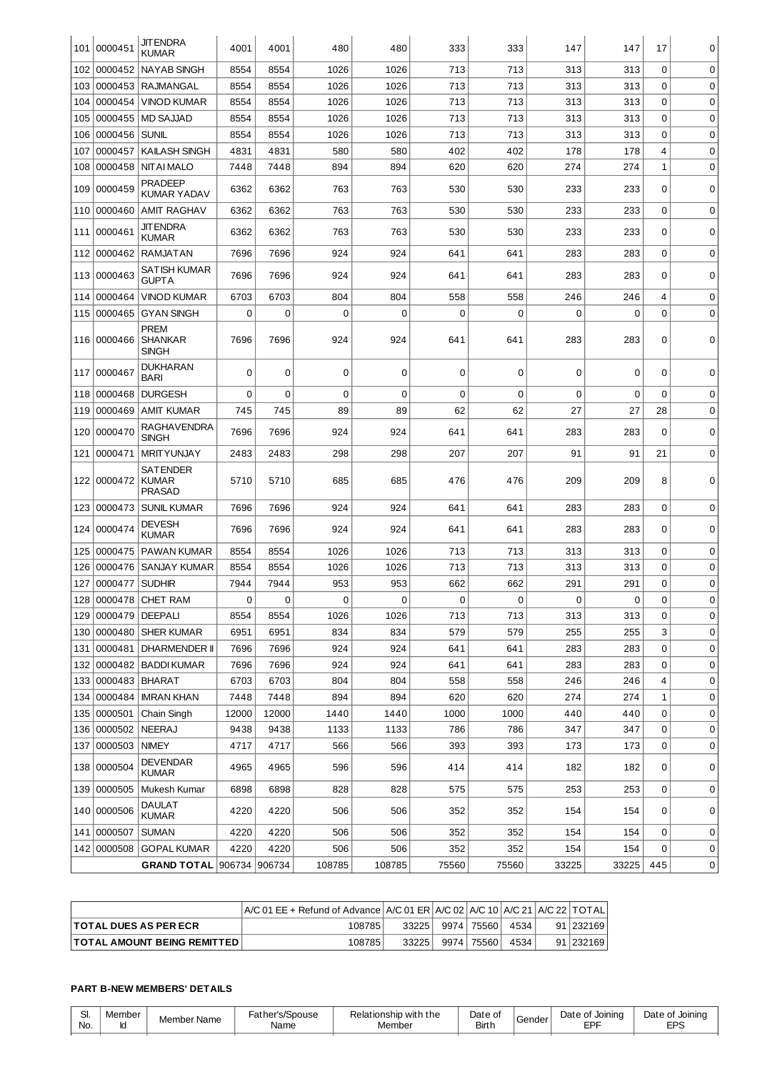| 101 | 0000451          | <b>JITENDRA</b><br><b>KUMAR</b>                  | 4001          | 4001        | 480         | 480    | 333   | 333   | 147   | 147   | 17          | 0           |
|-----|------------------|--------------------------------------------------|---------------|-------------|-------------|--------|-------|-------|-------|-------|-------------|-------------|
| 102 | 0000452          | <b>NAYAB SINGH</b>                               | 8554          | 8554        | 1026        | 1026   | 713   | 713   | 313   | 313   | 0           | 0           |
| 103 |                  | 0000453   RAJMANGAL                              | 8554          | 8554        | 1026        | 1026   | 713   | 713   | 313   | 313   | 0           | 0           |
| 104 | 0000454          | <b>VINOD KUMAR</b>                               | 8554          | 8554        | 1026        | 1026   | 713   | 713   | 313   | 313   | 0           | $\mathbf 0$ |
| 105 | 0000455          | MD SAJJAD                                        | 8554          | 8554        | 1026        | 1026   | 713   | 713   | 313   | 313   | 0           | 0           |
| 106 | 0000456          | <b>SUNIL</b>                                     | 8554          | 8554        | 1026        | 1026   | 713   | 713   | 313   | 313   | $\Omega$    | 0           |
| 107 | 0000457          | <b>KAILASH SINGH</b>                             | 4831          | 4831        | 580         | 580    | 402   | 402   | 178   | 178   | 4           | $\mathbf 0$ |
| 108 | 0000458          | <b>NITAI MALO</b>                                | 7448          | 7448        | 894         | 894    | 620   | 620   | 274   | 274   | 1           | $\mathbf 0$ |
| 109 | 0000459          | <b>PRADEEP</b><br><b>KUMAR YADAV</b>             | 6362          | 6362        | 763         | 763    | 530   | 530   | 233   | 233   | $\Omega$    | 0           |
| 110 | 0000460          | AMIT RAGHAV                                      | 6362          | 6362        | 763         | 763    | 530   | 530   | 233   | 233   | 0           | 0           |
| 111 | 0000461          | JIT ENDRA<br><b>KUMAR</b>                        | 6362          | 6362        | 763         | 763    | 530   | 530   | 233   | 233   | 0           | $\mathbf 0$ |
| 112 | 0000462          | <b>RAMJATAN</b>                                  | 7696          | 7696        | 924         | 924    | 641   | 641   | 283   | 283   | 0           | 0           |
| 113 | 0000463          | SATISH KUMAR<br>GUPTA                            | 7696          | 7696        | 924         | 924    | 641   | 641   | 283   | 283   | 0           | $\mathbf 0$ |
| 114 | 0000464          | <b>VINOD KUMAR</b>                               | 6703          | 6703        | 804         | 804    | 558   | 558   | 246   | 246   | 4           | $\mathbf 0$ |
| 115 | 0000465          | <b>GYAN SINGH</b>                                | 0             | 0           | $\Omega$    | 0      | 0     | 0     | 0     | 0     | 0           | 0           |
| 116 | 0000466          | <b>PREM</b><br><b>SHANKAR</b><br><b>SINGH</b>    | 7696          | 7696        | 924         | 924    | 641   | 641   | 283   | 283   | 0           | 0           |
| 117 | 0000467          | <b>DUKHARAN</b><br>BARI                          | 0             | 0           | $\mathbf 0$ | 0      | 0     | 0     | 0     | 0     | 0           | $\Omega$    |
| 118 | 0000468          | <b>DURGESH</b>                                   | 0             | $\mathbf 0$ | $\mathbf 0$ | 0      | 0     | 0     | 0     | 0     | 0           | 0           |
| 119 | 0000469          | <b>AMIT KUMAR</b>                                | 745           | 745         | 89          | 89     | 62    | 62    | 27    | 27    | 28          | 0           |
| 120 | 0000470          | RAGHAVENDRA<br><b>SINGH</b>                      | 7696          | 7696        | 924         | 924    | 641   | 641   | 283   | 283   | 0           | 0           |
| 121 | 0000471          | <b>MRITYUNJAY</b>                                | 2483          | 2483        | 298         | 298    | 207   | 207   | 91    | 91    | 21          | $\mathbf 0$ |
| 122 | 0000472          | <b>SATENDER</b><br><b>KUMAR</b><br><b>PRASAD</b> | 5710          | 5710        | 685         | 685    | 476   | 476   | 209   | 209   | 8           | $\mathbf 0$ |
| 123 | 0000473          | <b>SUNIL KUMAR</b>                               | 7696          | 7696        | 924         | 924    | 641   | 641   | 283   | 283   | 0           | $\mathbf 0$ |
| 124 | 0000474          | <b>DEVESH</b><br><b>KUMAR</b>                    | 7696          | 7696        | 924         | 924    | 641   | 641   | 283   | 283   | 0           | 0           |
| 125 | 0000475          | <b>PAWAN KUMAR</b>                               | 8554          | 8554        | 1026        | 1026   | 713   | 713   | 313   | 313   | 0           | 0           |
| 126 | 0000476          | SANJAY KUMAR                                     | 8554          | 8554        | 1026        | 1026   | 713   | 713   | 313   | 313   | 0           | 0           |
| 127 | 0000477          | <b>SUDHIR</b>                                    | 7944          | 7944        | 953         | 953    | 662   | 662   | 291   | 291   | 0           | 0           |
| 128 | 0000478          | <b>CHET RAM</b>                                  | 0             | 0           | 0           | 0      | 0     | 0     | 0     | 0     | 0           | 0           |
| 129 | 0000479 DEEPALI  |                                                  | 8554          | 8554        | 1026        | 1026   | 713   | 713   | 313   | 313   | 0           | 0           |
| 130 |                  | 0000480 SHER KUMAR                               | 6951          | 6951        | 834         | 834    | 579   | 579   | 255   | 255   | 3           | 0           |
| 131 |                  | 0000481   DHARMENDER II                          | 7696          | 7696        | 924         | 924    | 641   | 641   | 283   | 283   | 0           | 0           |
| 132 |                  | 0000482   BADDI KUMAR                            | 7696          | 7696        | 924         | 924    | 641   | 641   | 283   | 283   | 0           | 0           |
| 133 | 0000483   BHARAT |                                                  | 6703          | 6703        | 804         | 804    | 558   | 558   | 246   | 246   | 4           | 0           |
| 134 |                  | 0000484   IMRAN KHAN                             | 7448          | 7448        | 894         | 894    | 620   | 620   | 274   | 274   | 1           | 0           |
| 135 | 0000501          | Chain Singh                                      | 12000         | 12000       | 1440        | 1440   | 1000  | 1000  | 440   | 440   | $\mathbf 0$ | 0           |
| 136 | 0000502   NEERAJ |                                                  | 9438          | 9438        | 1133        | 1133   | 786   | 786   | 347   | 347   | $\mathbf 0$ | 0           |
| 137 | 0000503          | <b>NIMEY</b>                                     | 4717          | 4717        | 566         | 566    | 393   | 393   | 173   | 173   | 0           | $\mathbf 0$ |
|     | 138 0000504      | DEVENDAR<br>KUMAR                                | 4965          | 4965        | 596         | 596    | 414   | 414   | 182   | 182   | 0           | 0           |
| 139 | 0000505          | Mukesh Kumar                                     | 6898          | 6898        | 828         | 828    | 575   | 575   | 253   | 253   | 0           | 0           |
|     | 140 0000506      | <b>DAULAT</b><br><b>KUMAR</b>                    | 4220          | 4220        | 506         | 506    | 352   | 352   | 154   | 154   | 0           | 0           |
| 141 | 0000507          | <b>SUMAN</b>                                     | 4220          | 4220        | 506         | 506    | 352   | 352   | 154   | 154   | 0           | 0           |
|     | 142 0000508      | <b>GOPAL KUMAR</b>                               | 4220          | 4220        | 506         | 506    | 352   | 352   | 154   | 154   | 0           | 0           |
|     |                  | <b>GRAND TOTAL</b>                               | 906734 906734 |             | 108785      | 108785 | 75560 | 75560 | 33225 | 33225 | 445         | 0           |

|                                    | A/C 01 EE + Refund of Advance   A/C 01 ER   A/C 02   A/C 10   A/C 21   A/C 22   TOTAL |       |              |      |             |
|------------------------------------|---------------------------------------------------------------------------------------|-------|--------------|------|-------------|
| <b>TOTAL DUES AS PER ECR</b>       | 108785                                                                                | 33225 | 9974   75560 | 4534 | 91 232169   |
| <b>TOTAL AMOUNT BEING REMITTED</b> | 108785                                                                                | 33225 | 9974   75560 | 4534 | 91   232169 |

# **PART B-NEW MEMBERS' DETAILS**

| Jı.<br>No. | .ember | Member Name | Father's/Spouse<br>Name | Relationship with the<br>Member | Date of<br>Birth | Gender | Date<br>e of Joinina<br>ᄃᄆ | Date of<br>t Joinina<br><b>EPS</b> |
|------------|--------|-------------|-------------------------|---------------------------------|------------------|--------|----------------------------|------------------------------------|
|------------|--------|-------------|-------------------------|---------------------------------|------------------|--------|----------------------------|------------------------------------|